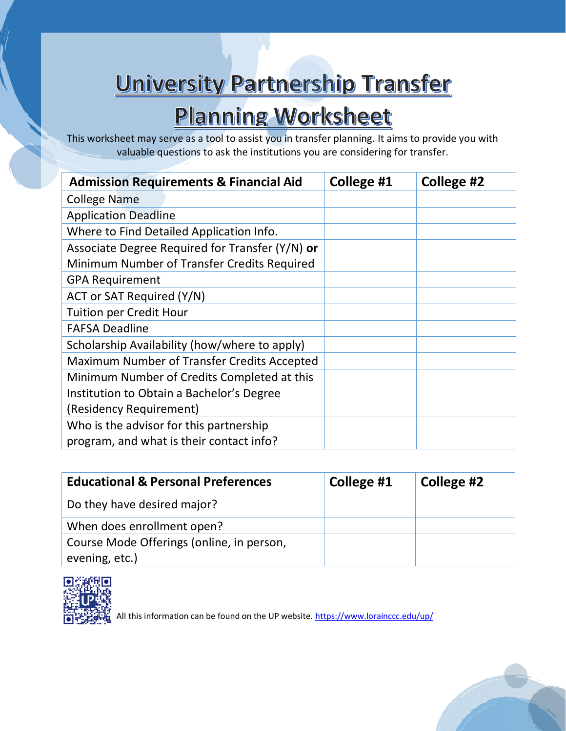## University Partnership Transfer

# **Planning Worksheet**

This worksheet may serve as a tool to assist you in transfer planning. It aims to provide you with valuable questions to ask the institutions you are considering for transfer.

| <b>Admission Requirements &amp; Financial Aid</b> |  | College #1 | College #2 |
|---------------------------------------------------|--|------------|------------|
| College Name                                      |  |            |            |
| <b>Application Deadline</b>                       |  |            |            |
| Where to Find Detailed Application Info.          |  |            |            |
| Associate Degree Required for Transfer (Y/N) or   |  |            |            |
| Minimum Number of Transfer Credits Required       |  |            |            |
| <b>GPA Requirement</b>                            |  |            |            |
| ACT or SAT Required (Y/N)                         |  |            |            |
| <b>Tuition per Credit Hour</b>                    |  |            |            |
| <b>FAFSA Deadline</b>                             |  |            |            |
| Scholarship Availability (how/where to apply)     |  |            |            |
| Maximum Number of Transfer Credits Accepted       |  |            |            |
| Minimum Number of Credits Completed at this       |  |            |            |
| Institution to Obtain a Bachelor's Degree         |  |            |            |
| (Residency Requirement)                           |  |            |            |
| Who is the advisor for this partnership           |  |            |            |
| program, and what is their contact info?          |  |            |            |

| <b>Educational &amp; Personal Preferences</b>               | College #1 | College #2 |
|-------------------------------------------------------------|------------|------------|
| Do they have desired major?                                 |            |            |
| When does enrollment open?                                  |            |            |
| Course Mode Offerings (online, in person,<br>evening, etc.) |            |            |



All this information can be found on the UP website.<https://www.lorainccc.edu/up/>